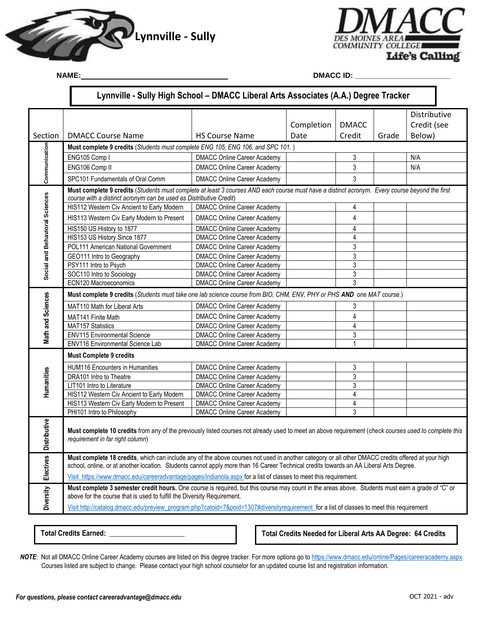

NAME:



**DMACC ID: \_\_\_** 

|                                | Lynnville - Sully High School - DMACC Liberal Arts Associates (A.A.) Degree Tracker                                                                   |                                    |            |              |       |              |  |  |
|--------------------------------|-------------------------------------------------------------------------------------------------------------------------------------------------------|------------------------------------|------------|--------------|-------|--------------|--|--|
|                                |                                                                                                                                                       |                                    |            |              |       | Distributive |  |  |
|                                |                                                                                                                                                       |                                    | Completion | <b>DMACC</b> |       | Credit (see  |  |  |
| Section                        | <b>DMACC Course Name</b>                                                                                                                              | <b>HS Course Name</b>              | Date       | Credit       | Grade | Below)       |  |  |
|                                | Must complete 9 credits (Students must complete ENG 105, ENG 106, and SPC 101.)                                                                       |                                    |            |              |       |              |  |  |
| Communication                  | ENG105 Comp I                                                                                                                                         | <b>DMACC Online Career Academy</b> |            | 3            |       | N/A          |  |  |
|                                | ENG106 Comp II                                                                                                                                        | <b>DMACC Online Career Academy</b> |            | 3            |       | N/A          |  |  |
|                                | SPC101 Fundamentals of Oral Comm                                                                                                                      | <b>DMACC Online Career Academy</b> |            | 3            |       |              |  |  |
|                                | Must complete 9 credits (Students must complete at least 3 courses AND each course must have a distinct acronym. Every course beyond the first        |                                    |            |              |       |              |  |  |
| Social and Behavioral Sciences | course with a distinct acronym can be used as Distributive Credit)                                                                                    |                                    |            |              |       |              |  |  |
|                                | HIS112 Western Civ Ancient to Early Modern                                                                                                            | <b>DMACC Online Career Academy</b> |            | 4            |       |              |  |  |
|                                | HIS113 Western Civ Early Modern to Present                                                                                                            | <b>DMACC Online Career Academy</b> |            | 4            |       |              |  |  |
|                                | HIS150 US History to 1877                                                                                                                             | <b>DMACC Online Career Academy</b> |            | 4            |       |              |  |  |
|                                | HIS153 US History Since 1877                                                                                                                          | <b>DMACC Online Career Academy</b> |            | 4            |       |              |  |  |
|                                | POL111 American National Government                                                                                                                   | <b>DMACC Online Career Academy</b> |            | 3            |       |              |  |  |
|                                | GEO111 Intro to Geography                                                                                                                             | <b>DMACC Online Career Academy</b> |            | 3            |       |              |  |  |
|                                | PSY111 Intro to Psych                                                                                                                                 | <b>DMACC Online Career Academy</b> |            | 3            |       |              |  |  |
|                                | SOC110 Intro to Sociology                                                                                                                             | <b>DMACC Online Career Academy</b> |            | 3            |       |              |  |  |
|                                | ECN120 Macroeconomics                                                                                                                                 | <b>DMACC Online Career Academy</b> |            | 3            |       |              |  |  |
| Math and Sciences              | Must complete 9 credits (Students must take one lab science course from BIO, CHM, ENV, PHY or PHS AND one MAT course.)                                |                                    |            |              |       |              |  |  |
|                                | MAT110 Math for Liberal Arts                                                                                                                          | <b>DMACC Online Career Academy</b> |            | 3            |       |              |  |  |
|                                | MAT141 Finite Math                                                                                                                                    | <b>DMACC Online Career Academy</b> |            | 4            |       |              |  |  |
|                                | MAT157 Statistics                                                                                                                                     | <b>DMACC Online Career Academy</b> |            | 4            |       |              |  |  |
|                                | <b>ENV115 Environmental Science</b>                                                                                                                   | <b>DMACC Online Career Academy</b> |            | 3            |       |              |  |  |
|                                | ENV116 Environmental Science Lab                                                                                                                      | <b>DMACC Online Career Academy</b> |            | $\mathbf{1}$ |       |              |  |  |
| Humanities                     | <b>Must Complete 9 credits</b>                                                                                                                        |                                    |            |              |       |              |  |  |
|                                | HUM116 Encounters in Humanities                                                                                                                       | <b>DMACC Online Career Academy</b> |            | 3            |       |              |  |  |
|                                | DRA101 Intro to Theatre                                                                                                                               | <b>DMACC Online Career Academy</b> |            | 3            |       |              |  |  |
|                                | LIT101 Intro to Literature                                                                                                                            | <b>DMACC Online Career Academy</b> |            | 3            |       |              |  |  |
|                                | HIS112 Western Civ Ancient to Early Modern                                                                                                            | <b>DMACC Online Career Academy</b> |            | 4            |       |              |  |  |
|                                | HIS113 Western Civ Early Modern to Present                                                                                                            | <b>DMACC Online Career Academy</b> |            | 4            |       |              |  |  |
|                                | PHI101 Intro to Philosophy                                                                                                                            | <b>DMACC Online Career Academy</b> |            | 3            |       |              |  |  |
| Distributive                   | Must complete 10 credits from any of the previously listed courses not already used to meet an above requirement (check courses used to complete this |                                    |            |              |       |              |  |  |
|                                | requirement in far right column)                                                                                                                      |                                    |            |              |       |              |  |  |
|                                |                                                                                                                                                       |                                    |            |              |       |              |  |  |
| Electives                      | Must complete 18 credits, which can include any of the above courses not used in another category or all other DMACC credits offered at your high     |                                    |            |              |       |              |  |  |
|                                | school, online, or at another location. Students cannot apply more than 16 Career Technical credits towards an AA Liberal Arts Degree.                |                                    |            |              |       |              |  |  |
|                                | Visit https://www.dmacc.edu/careeradvantage/pages/indianola.aspx for a list of classes to meet this requirement.                                      |                                    |            |              |       |              |  |  |
|                                | Must complete 3 semester credit hours. One course is required, but this course may count in the areas above. Students must earn a grade of "C" or     |                                    |            |              |       |              |  |  |
| <b>Diversity</b>               | above for the course that is used to fulfill the Diversity Requirement.                                                                               |                                    |            |              |       |              |  |  |
|                                | Visit http://catalog.dmacc.edu/preview_program.php?catoid=7&poid=1307#diversityrequirement_for a list of classes to meet this requirement             |                                    |            |              |       |              |  |  |

**Total Credits Earned:** 

**Total Credits Needed for Liberal Arts AA Degree: 64 Credits** 

 Courses listed are subject to change. Please contact your high school counselor for an updated course list and registration information. *NOTE*: Not all DMACC Online Career Academy courses are listed on this degree tracker. For more options go to<https://www.dmacc.edu/online/Pages/careeracademy.aspx>